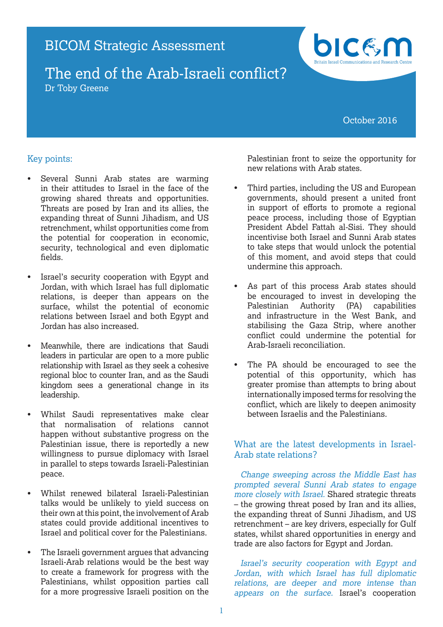

October 2016

# Key points:

- Several Sunni Arab states are warming in their attitudes to Israel in the face of the growing shared threats and opportunities. Threats are posed by Iran and its allies, the expanding threat of Sunni Jihadism, and US retrenchment, whilst opportunities come from the potential for cooperation in economic, security, technological and even diplomatic fields.
- Israel's security cooperation with Egypt and Jordan, with which Israel has full diplomatic relations, is deeper than appears on the surface, whilst the potential of economic relations between Israel and both Egypt and Jordan has also increased.
- Meanwhile, there are indications that Saudi leaders in particular are open to a more public relationship with Israel as they seek a cohesive regional bloc to counter Iran, and as the Saudi kingdom sees a generational change in its leadership.
- Whilst Saudi representatives make clear that normalisation of relations cannot happen without substantive progress on the Palestinian issue, there is reportedly a new willingness to pursue diplomacy with Israel in parallel to steps towards Israeli-Palestinian peace.
- Whilst renewed bilateral Israeli-Palestinian talks would be unlikely to yield success on their own at this point, the involvement of Arab states could provide additional incentives to Israel and political cover for the Palestinians.
- The Israeli government argues that advancing Israeli-Arab relations would be the best way to create a framework for progress with the Palestinians, whilst opposition parties call for a more progressive Israeli position on the

Palestinian front to seize the opportunity for new relations with Arab states.

- Third parties, including the US and European governments, should present a united front in support of efforts to promote a regional peace process, including those of Egyptian President Abdel Fattah al-Sisi. They should incentivise both Israel and Sunni Arab states to take steps that would unlock the potential of this moment, and avoid steps that could undermine this approach.
- As part of this process Arab states should be encouraged to invest in developing the Palestinian Authority (PA) capabilities and infrastructure in the West Bank, and stabilising the Gaza Strip, where another conflict could undermine the potential for Arab-Israeli reconciliation.
- The PA should be encouraged to see the potential of this opportunity, which has greater promise than attempts to bring about internationally imposed terms for resolving the conflict, which are likely to deepen animosity between Israelis and the Palestinians.

# What are the latest developments in Israel-Arab state relations?

Change sweeping across the Middle East has prompted several Sunni Arab states to engage more closely with Israel. Shared strategic threats – the growing threat posed by Iran and its allies, the expanding threat of Sunni Jihadism, and US retrenchment – are key drivers, especially for Gulf states, whilst shared opportunities in energy and trade are also factors for Egypt and Jordan.

Israel's security cooperation with Egypt and Jordan, with which Israel has full diplomatic relations, are deeper and more intense than appears on the surface. Israel's cooperation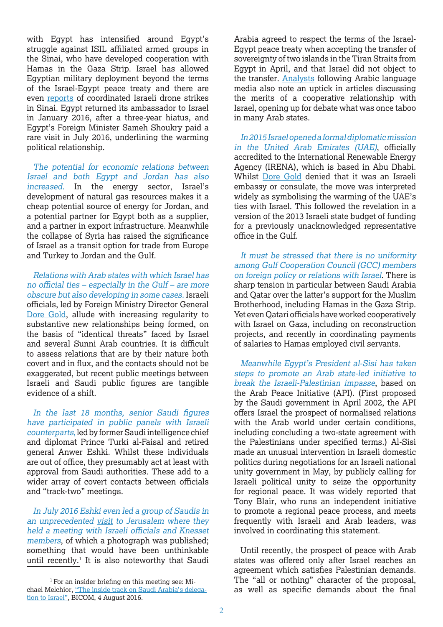with Egypt has intensified around Egypt's struggle against ISIL affiliated armed groups in the Sinai, who have developed cooperation with Hamas in the Gaza Strip. Israel has allowed Egyptian military deployment beyond the terms of the Israel-Egypt peace treaty and there are even reports of coordinated Israeli drone strikes in Sinai. Egypt returned its ambassador to Israel in January 2016, after a three-year hiatus, and Egypt's Foreign Minister Sameh Shoukry paid a rare visit in July 2016, underlining the warming political relationship.

The potential for economic relations between Israel and both Egypt and Jordan has also increased. In the energy sector, Israel's development of natural gas resources makes it a cheap potential source of energy for Jordan, and a potential partner for Egypt both as a supplier, and a partner in export infrastructure. Meanwhile the collapse of Syria has raised the significance of Israel as a transit option for trade from Europe and Turkey to Jordan and the Gulf.

Relations with Arab states with which Israel has no official ties – especially in the Gulf – are more obscure but also developing in some cases. Israeli officials, led by Foreign Ministry Director General Dore Gold, allude with increasing regularity to substantive new relationships being formed, on the basis of "identical threats" faced by Israel and several Sunni Arab countries. It is difficult to assess relations that are by their nature both covert and in flux, and the contacts should not be exaggerated, but recent public meetings between Israeli and Saudi public figures are tangible evidence of a shift.

In the last 18 months, senior Saudi figures have participated in public panels with Israeli counterparts, led by former Saudi intelligence chief and diplomat Prince Turki al-Faisal and retired general Anwer Eshki. Whilst these individuals are out of office, they presumably act at least with approval from Saudi authorities. These add to a wider array of covert contacts between officials and "track-two" meetings.

In July 2016 Eshki even led a group of Saudis in an unprecedented visit to Jerusalem where they held a meeting with Israeli officials and Knesset members, of which a photograph was published; something that would have been unthinkable until recently. $<sup>1</sup>$  It is also noteworthy that Saudi</sup>

<sup>1</sup> For an insider briefing on this meeting see: Michael Melchior, "The inside track on Saudi Arabia's delegation to Israel", BICOM, 4 August 2016.

Arabia agreed to respect the terms of the Israel-Egypt peace treaty when accepting the transfer of sovereignty of two islands in the Tiran Straits from Egypt in April, and that Israel did not object to the transfer. Analysts following Arabic language media also note an uptick in articles discussing the merits of a cooperative relationship with Israel, opening up for debate what was once taboo in many Arab states.

In 2015 Israel opened a formal diplomatic mission in the United Arab Emirates (UAE), officially accredited to the International Renewable Energy Agency (IRENA), which is based in Abu Dhabi. Whilst Dore Gold denied that it was an Israeli embassy or consulate, the move was interpreted widely as symbolising the warming of the UAE's ties with Israel. This followed the revelation in a version of the 2013 Israeli state budget of funding for a previously unacknowledged representative office in the Gulf.

It must be stressed that there is no uniformity among Gulf Cooperation Council (GCC) members on foreign policy or relations with Israel. There is sharp tension in particular between Saudi Arabia and Qatar over the latter's support for the Muslim Brotherhood, including Hamas in the Gaza Strip. Yet even Qatari officials have worked cooperatively with Israel on Gaza, including on reconstruction projects, and recently in coordinating payments of salaries to Hamas employed civil servants.

Meanwhile Egypt's President al-Sisi has taken steps to promote an Arab state-led initiative to break the Israeli-Palestinian impasse, based on the Arab Peace Initiative (API). (First proposed by the Saudi government in April 2002, the API offers Israel the prospect of normalised relations with the Arab world under certain conditions. including concluding a two-state agreement with the Palestinians under specified terms.) Al-Sisi made an unusual intervention in Israeli domestic politics during negotiations for an Israeli national unity government in May, by publicly calling for Israeli political unity to seize the opportunity for regional peace. It was widely reported that Tony Blair, who runs an independent initiative to promote a regional peace process, and meets frequently with Israeli and Arab leaders, was involved in coordinating this statement.

Until recently, the prospect of peace with Arab states was offered only after Israel reaches an agreement which satisfies Palestinian demands. The "all or nothing" character of the proposal, as well as specific demands about the final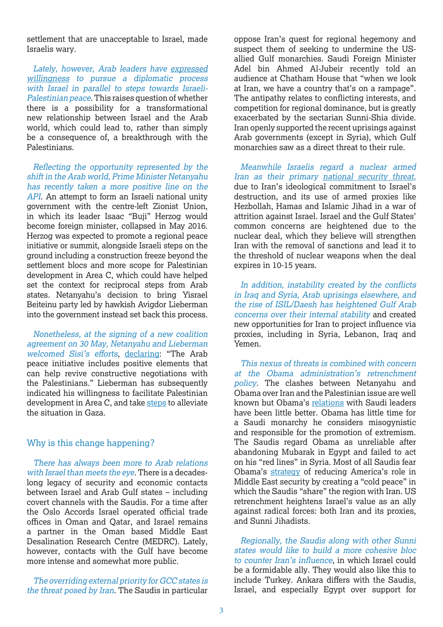settlement that are unacceptable to Israel, made Israelis wary.

Lately, however, Arab leaders have expressed willingness to pursue a diplomatic process with Israel in parallel to steps towards Israeli-Palestinian peace. This raises question of whether there is a possibility for a transformational new relationship between Israel and the Arab world, which could lead to, rather than simply be a consequence of, a breakthrough with the Palestinians.

Reflecting the opportunity represented by the shift in the Arab world, Prime Minister Netanyahu has recently taken a more positive line on the API. An attempt to form an Israeli national unity government with the centre-left Zionist Union, in which its leader Isaac "Buji" Herzog would become foreign minister, collapsed in May 2016. Herzog was expected to promote a regional peace initiative or summit, alongside Israeli steps on the ground including a construction freeze beyond the settlement blocs and more scope for Palestinian development in Area C, which could have helped set the context for reciprocal steps from Arab states. Netanyahu's decision to bring Yisrael Beiteinu party led by hawkish Avigdor Lieberman into the government instead set back this process.

Nonetheless, at the signing of a new coalition agreement on 30 May, Netanyahu and Lieberman welcomed Sisi's efforts, declaring: "The Arab peace initiative includes positive elements that can help revive constructive negotiations with the Palestinians." Lieberman has subsequently indicated his willingness to facilitate Palestinian development in Area C, and take steps to alleviate the situation in Gaza.

## Why is this change happening?

There has always been more to Arab relations with Israel than meets the eye. There is a decadeslong legacy of security and economic contacts between Israel and Arab Gulf states – including covert channels with the Saudis. For a time after the Oslo Accords Israel operated official trade offices in Oman and Qatar, and Israel remains a partner in the Oman based Middle East Desalination Research Centre (MEDRC). Lately, however, contacts with the Gulf have become more intense and somewhat more public.

The overriding external priority for GCC states is the threat posed by Iran. The Saudis in particular

oppose Iran's quest for regional hegemony and suspect them of seeking to undermine the USallied Gulf monarchies. Saudi Foreign Minister Adel bin Ahmed Al-Jubeir recently told an audience at Chatham House that "when we look at Iran, we have a country that's on a rampage". The antipathy relates to conflicting interests, and competition for regional dominance, but is greatly exacerbated by the sectarian Sunni-Shia divide. Iran openly supported the recent uprisings against Arab governments (except in Syria), which Gulf monarchies saw as a direct threat to their rule.

Meanwhile Israelis regard a nuclear armed Iran as their primary national security threat, due to Iran's ideological commitment to Israel's destruction, and its use of armed proxies like Hezbollah, Hamas and Islamic Jihad in a war of attrition against Israel. Israel and the Gulf States' common concerns are heightened due to the nuclear deal, which they believe will strengthen Iran with the removal of sanctions and lead it to the threshold of nuclear weapons when the deal expires in 10-15 years.

In addition, instability created by the conflicts in Iraq and Syria, Arab uprisings elsewhere, and the rise of ISIL/Daesh has heightened Gulf Arab concerns over their internal stability and created new opportunities for Iran to project influence via proxies, including in Syria, Lebanon, Iraq and Yemen.

This nexus of threats is combined with concern at the Obama administration's retrenchment policy. The clashes between Netanyahu and Obama over Iran and the Palestinian issue are well known but Obama's relations with Saudi leaders have been little better. Obama has little time for a Saudi monarchy he considers misogynistic and responsible for the promotion of extremism. The Saudis regard Obama as unreliable after abandoning Mubarak in Egypt and failed to act on his "red lines" in Syria. Most of all Saudis fear Obama's strategy of reducing America's role in Middle East security by creating a "cold peace" in which the Saudis "share" the region with Iran. US retrenchment heightens Israel's value as an ally against radical forces: both Iran and its proxies, and Sunni Jihadists.

Regionally, the Saudis along with other Sunni states would like to build a more cohesive bloc to counter Iran's influence, in which Israel could be a formidable ally. They would also like this to include Turkey. Ankara differs with the Saudis, Israel, and especially Egypt over support for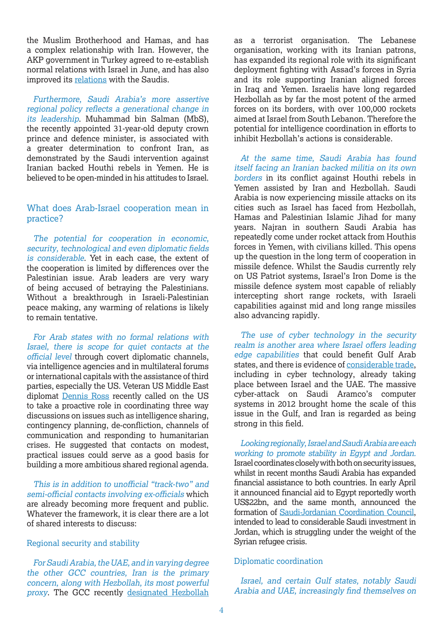the Muslim Brotherhood and Hamas, and has a complex relationship with Iran. However, the AKP government in Turkey agreed to re-establish normal relations with Israel in June, and has also improved its relations with the Saudis.

Furthermore, Saudi Arabia's more assertive regional policy reflects a generational change in its leadership. Muhammad bin Salman (MbS), the recently appointed 31-year-old deputy crown prince and defence minister, is associated with a greater determination to confront Iran, as demonstrated by the Saudi intervention against Iranian backed Houthi rebels in Yemen. He is believed to be open-minded in his attitudes to Israel.

### What does Arab-Israel cooperation mean in practice?

The potential for cooperation in economic, security, technological and even diplomatic fields is considerable. Yet in each case, the extent of the cooperation is limited by differences over the Palestinian issue. Arab leaders are very wary of being accused of betraying the Palestinians. Without a breakthrough in Israeli-Palestinian peace making, any warming of relations is likely to remain tentative.

For Arab states with no formal relations with Israel, there is scope for quiet contacts at the official level through covert diplomatic channels, via intelligence agencies and in multilateral forums or international capitals with the assistance of third parties, especially the US. Veteran US Middle East diplomat Dennis Ross recently called on the US to take a proactive role in coordinating three way discussions on issues such as intelligence sharing, contingency planning, de-confliction, channels of communication and responding to humanitarian crises. He suggested that contacts on modest, practical issues could serve as a good basis for building a more ambitious shared regional agenda.

This is in addition to unofficial "track-two" and semi-official contacts involving ex-officials which are already becoming more frequent and public. Whatever the framework, it is clear there are a lot of shared interests to discuss:

### Regional security and stability

For Saudi Arabia, the UAE, and in varying degree the other GCC countries, Iran is the primary concern, along with Hezbollah, its most powerful proxy. The GCC recently designated Hezbollah

as a terrorist organisation. The Lebanese organisation, working with its Iranian patrons, has expanded its regional role with its significant deployment fighting with Assad's forces in Syria and its role supporting Iranian aligned forces in Iraq and Yemen. Israelis have long regarded Hezbollah as by far the most potent of the armed forces on its borders, with over 100,000 rockets aimed at Israel from South Lebanon. Therefore the potential for intelligence coordination in efforts to inhibit Hezbollah's actions is considerable.

At the same time, Saudi Arabia has found itself facing an Iranian backed militia on its own borders in its conflict against Houthi rebels in Yemen assisted by Iran and Hezbollah. Saudi Arabia is now experiencing missile attacks on its cities such as Israel has faced from Hezbollah, Hamas and Palestinian Islamic Jihad for many years. Najran in southern Saudi Arabia has repeatedly come under rocket attack from Houthis forces in Yemen, with civilians killed. This opens up the question in the long term of cooperation in missile defence. Whilst the Saudis currently rely on US Patriot systems, Israel's Iron Dome is the missile defence system most capable of reliably intercepting short range rockets, with Israeli capabilities against mid and long range missiles also advancing rapidly.

The use of cyber technology in the security realm is another area where Israel offers leading edge capabilities that could benefit Gulf Arab states, and there is evidence of considerable trade, including in cyber technology, already taking place between Israel and the UAE. The massive cyber-attack on Saudi Aramco's computer systems in 2012 brought home the scale of this issue in the Gulf, and Iran is regarded as being strong in this field.

Looking regionally, Israel and Saudi Arabia are each working to promote stability in Egypt and Jordan. Israel coordinates closely with both on security issues, whilst in recent months Saudi Arabia has expanded financial assistance to both countries. In early April it announced financial aid to Egypt reportedly worth US\$22bn, and the same month, announced the formation of Saudi-Jordanian Coordination Council, intended to lead to considerable Saudi investment in Jordan, which is struggling under the weight of the Syrian refugee crisis.

### Diplomatic coordination

Israel, and certain Gulf states, notably Saudi Arabia and UAE, increasingly find themselves on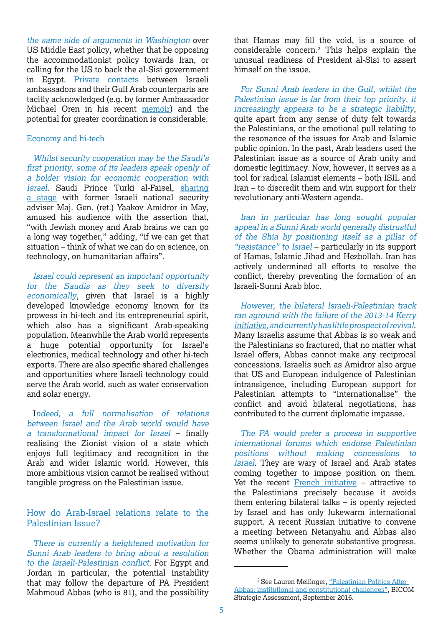the same side of arguments in Washington over US Middle East policy, whether that be opposing the accommodationist policy towards Iran, or calling for the US to back the al-Sisi government in Egypt. Private contacts between Israeli ambassadors and their Gulf Arab counterparts are tacitly acknowledged (e.g. by former Ambassador Michael Oren in his recent memoir) and the potential for greater coordination is considerable.

#### Economy and hi-tech

Whilst security cooperation may be the Saudi's first priority, some of its leaders speak openly of a bolder vision for economic cooperation with Israel. Saudi Prince Turki al-Faisel, sharing a stage with former Israeli national security adviser Maj. Gen. (ret.) Yaakov Amidror in May, amused his audience with the assertion that, "with Jewish money and Arab brains we can go a long way together," adding, "if we can get that situation – think of what we can do on science, on technology, on humanitarian affairs".

Israel could represent an important opportunity for the Saudis as they seek to diversify economically, given that Israel is a highly developed knowledge economy known for its prowess in hi-tech and its entrepreneurial spirit, which also has a significant Arab-speaking population. Meanwhile the Arab world represents a huge potential opportunity for Israel's electronics, medical technology and other hi-tech exports. There are also specific shared challenges and opportunities where Israeli technology could serve the Arab world, such as water conservation and solar energy.

Indeed, a full normalisation of relations between Israel and the Arab world would have a transformational impact for Israel – finally realising the Zionist vision of a state which enjoys full legitimacy and recognition in the Arab and wider Islamic world. However, this more ambitious vision cannot be realised without tangible progress on the Palestinian issue.

## How do Arab-Israel relations relate to the Palestinian Issue?

There is currently a heightened motivation for Sunni Arab leaders to bring about a resolution to the Israeli-Palestinian conflict. For Egypt and Jordan in particular, the potential instability that may follow the departure of PA President Mahmoud Abbas (who is 81), and the possibility

that Hamas may fill the void, is a source of considerable concern.2 This helps explain the unusual readiness of President al-Sisi to assert himself on the issue.

For Sunni Arab leaders in the Gulf, whilst the Palestinian issue is far from their top priority, it increasingly appears to be a strategic liability, quite apart from any sense of duty felt towards the Palestinians, or the emotional pull relating to the resonance of the issues for Arab and Islamic public opinion. In the past, Arab leaders used the Palestinian issue as a source of Arab unity and domestic legitimacy. Now, however, it serves as a tool for radical Islamist elements – both ISIL and Iran – to discredit them and win support for their revolutionary anti-Western agenda.

Iran in particular has long sought popular appeal in a Sunni Arab world generally distrustful of the Shia by positioning itself as a pillar of "resistance" to Israel – particularly in its support of Hamas, Islamic Jihad and Hezbollah. Iran has actively undermined all efforts to resolve the conflict, thereby preventing the formation of an Israeli-Sunni Arab bloc.

However, the bilateral Israeli-Palestinian track ran aground with the failure of the 2013-14 Kerry initiative, and currently has little prospect of revival. Many Israelis assume that Abbas is so weak and the Palestinians so fractured, that no matter what Israel offers, Abbas cannot make any reciprocal concessions. Israelis such as Amidror also argue that US and European indulgence of Palestinian intransigence, including European support for Palestinian attempts to "internationalise" the conflict and avoid bilateral negotiations, has contributed to the current diplomatic impasse.

The PA would prefer a process in supportive international forums which endorse Palestinian positions without making concessions to Israel. They are wary of Israel and Arab states coming together to impose position on them. Yet the recent French initiative – attractive to the Palestinians precisely because it avoids them entering bilateral talks – is openly rejected by Israel and has only lukewarm international support. A recent Russian initiative to convene a meeting between Netanyahu and Abbas also seems unlikely to generate substantive progress. Whether the Obama administration will make

<sup>&</sup>lt;sup>2</sup> See Lauren Mellinger, "Palestinian Politics After Abbas: institutional and constitutional challenges", BICOM Strategic Assessment, September 2016.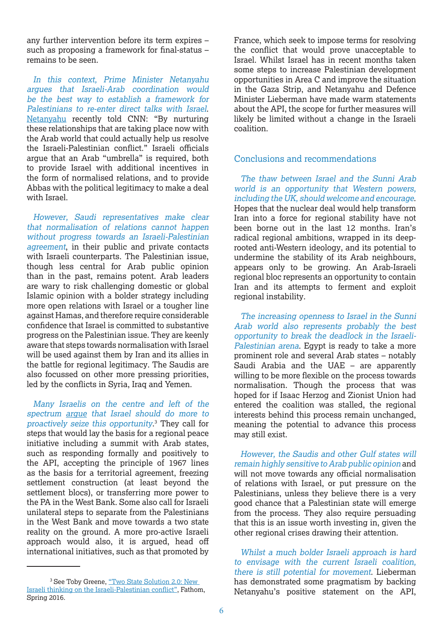any further intervention before its term expires – such as proposing a framework for final-status – remains to be seen.

In this context, Prime Minister Netanyahu argues that Israeli-Arab coordination would be the best way to establish a framework for Palestinians to re-enter direct talks with Israel. Netanyahu recently told CNN: "By nurturing these relationships that are taking place now with the Arab world that could actually help us resolve the Israeli-Palestinian conflict." Israeli officials argue that an Arab "umbrella" is required, both to provide Israel with additional incentives in the form of normalised relations, and to provide Abbas with the political legitimacy to make a deal with Israel.

However, Saudi representatives make clear that normalisation of relations cannot happen without progress towards an Israeli-Palestinian agreement, in their public and private contacts with Israeli counterparts. The Palestinian issue, though less central for Arab public opinion than in the past, remains potent. Arab leaders are wary to risk challenging domestic or global Islamic opinion with a bolder strategy including more open relations with Israel or a tougher line against Hamas, and therefore require considerable confidence that Israel is committed to substantive progress on the Palestinian issue. They are keenly aware that steps towards normalisation with Israel will be used against them by Iran and its allies in the battle for regional legitimacy. The Saudis are also focussed on other more pressing priorities, led by the conflicts in Syria, Iraq and Yemen.

Many Israelis on the centre and left of the spectrum argue that Israel should do more to proactively seize this opportunity. 3 They call for steps that would lay the basis for a regional peace initiative including a summit with Arab states, such as responding formally and positively to the API, accepting the principle of 1967 lines as the basis for a territorial agreement, freezing settlement construction (at least beyond the settlement blocs), or transferring more power to the PA in the West Bank. Some also call for Israeli unilateral steps to separate from the Palestinians in the West Bank and move towards a two state reality on the ground. A more pro-active Israeli approach would also, it is argued, head off international initiatives, such as that promoted by

France, which seek to impose terms for resolving the conflict that would prove unacceptable to Israel. Whilst Israel has in recent months taken some steps to increase Palestinian development opportunities in Area C and improve the situation in the Gaza Strip, and Netanyahu and Defence Minister Lieberman have made warm statements about the API, the scope for further measures will likely be limited without a change in the Israeli coalition.

### Conclusions and recommendations

The thaw between Israel and the Sunni Arab world is an opportunity that Western powers, including the UK, should welcome and encourage. Hopes that the nuclear deal would help transform Iran into a force for regional stability have not been borne out in the last 12 months. Iran's radical regional ambitions, wrapped in its deeprooted anti-Western ideology, and its potential to undermine the stability of its Arab neighbours, appears only to be growing. An Arab-Israeli regional bloc represents an opportunity to contain Iran and its attempts to ferment and exploit regional instability.

The increasing openness to Israel in the Sunni Arab world also represents probably the best opportunity to break the deadlock in the Israeli-Palestinian arena. Egypt is ready to take a more prominent role and several Arab states – notably Saudi Arabia and the UAE – are apparently willing to be more flexible on the process towards normalisation. Though the process that was hoped for if Isaac Herzog and Zionist Union had entered the coalition was stalled, the regional interests behind this process remain unchanged, meaning the potential to advance this process may still exist.

However, the Saudis and other Gulf states will remain highly sensitive to Arab public opinion and will not move towards any official normalisation of relations with Israel, or put pressure on the Palestinians, unless they believe there is a very good chance that a Palestinian state will emerge from the process. They also require persuading that this is an issue worth investing in, given the other regional crises drawing their attention.

Whilst a much bolder Israeli approach is hard to envisage with the current Israeli coalition, there is still potential for movement. Lieberman has demonstrated some pragmatism by backing Netanyahu's positive statement on the API,

<sup>&</sup>lt;sup>3</sup> See Toby Greene, "Two State Solution 2.0: New Israeli thinking on the Israeli-Palestinian conflict", Fathom, Spring 2016.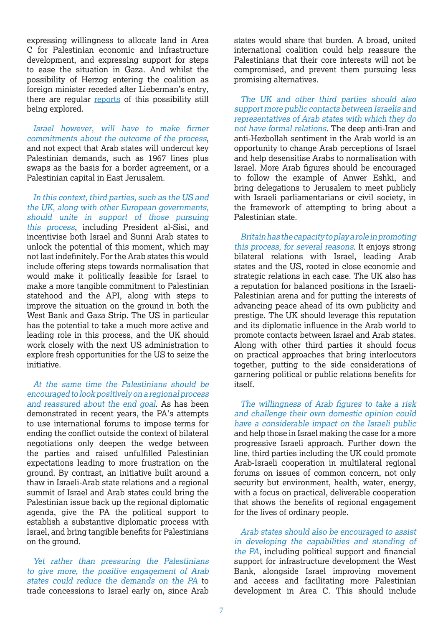expressing willingness to allocate land in Area C for Palestinian economic and infrastructure development, and expressing support for steps to ease the situation in Gaza. And whilst the possibility of Herzog entering the coalition as foreign minister receded after Lieberman's entry, there are regular reports of this possibility still being explored.

Israel however, will have to make firmer commitments about the outcome of the process, and not expect that Arab states will undercut key Palestinian demands, such as 1967 lines plus swaps as the basis for a border agreement, or a Palestinian capital in East Jerusalem.

In this context, third parties, such as the US and the UK, along with other European governments, should unite in support of those pursuing this process, including President al-Sisi, and incentivise both Israel and Sunni Arab states to unlock the potential of this moment, which may not last indefinitely. For the Arab states this would include offering steps towards normalisation that would make it politically feasible for Israel to make a more tangible commitment to Palestinian statehood and the API, along with steps to improve the situation on the ground in both the West Bank and Gaza Strip. The US in particular has the potential to take a much more active and leading role in this process, and the UK should work closely with the next US administration to explore fresh opportunities for the US to seize the initiative.

At the same time the Palestinians should be encouraged to look positively on a regional process and reassured about the end goal. As has been demonstrated in recent years, the PA's attempts to use international forums to impose terms for ending the conflict outside the context of bilateral negotiations only deepen the wedge between the parties and raised unfulfilled Palestinian expectations leading to more frustration on the ground. By contrast, an initiative built around a thaw in Israeli-Arab state relations and a regional summit of Israel and Arab states could bring the Palestinian issue back up the regional diplomatic agenda, give the PA the political support to establish a substantive diplomatic process with Israel, and bring tangible benefits for Palestinians on the ground.

Yet rather than pressuring the Palestinians to give more, the positive engagement of Arab states could reduce the demands on the PA to trade concessions to Israel early on, since Arab

states would share that burden. A broad, united international coalition could help reassure the Palestinians that their core interests will not be compromised, and prevent them pursuing less promising alternatives.

The UK and other third parties should also support more public contacts between Israelis and representatives of Arab states with which they do not have formal relations. The deep anti-Iran and anti-Hezbollah sentiment in the Arab world is an opportunity to change Arab perceptions of Israel and help desensitise Arabs to normalisation with Israel. More Arab figures should be encouraged to follow the example of Anwer Eshki, and bring delegations to Jerusalem to meet publicly with Israeli parliamentarians or civil society, in the framework of attempting to bring about a Palestinian state.

Britain has the capacity to play a role in promoting this process, for several reasons. It enjoys strong bilateral relations with Israel, leading Arab states and the US, rooted in close economic and strategic relations in each case. The UK also has a reputation for balanced positions in the Israeli-Palestinian arena and for putting the interests of advancing peace ahead of its own publicity and prestige. The UK should leverage this reputation and its diplomatic influence in the Arab world to promote contacts between Israel and Arab states. Along with other third parties it should focus on practical approaches that bring interlocutors together, putting to the side considerations of garnering political or public relations benefits for itself.

The willingness of Arab figures to take a risk and challenge their own domestic opinion could have a considerable impact on the Israeli public and help those in Israel making the case for a more progressive Israeli approach. Further down the line, third parties including the UK could promote Arab-Israeli cooperation in multilateral regional forums on issues of common concern, not only security but environment, health, water, energy, with a focus on practical, deliverable cooperation that shows the benefits of regional engagement for the lives of ordinary people.

Arab states should also be encouraged to assist in developing the capabilities and standing of the PA, including political support and financial support for infrastructure development the West Bank, alongside Israel improving movement and access and facilitating more Palestinian development in Area C. This should include